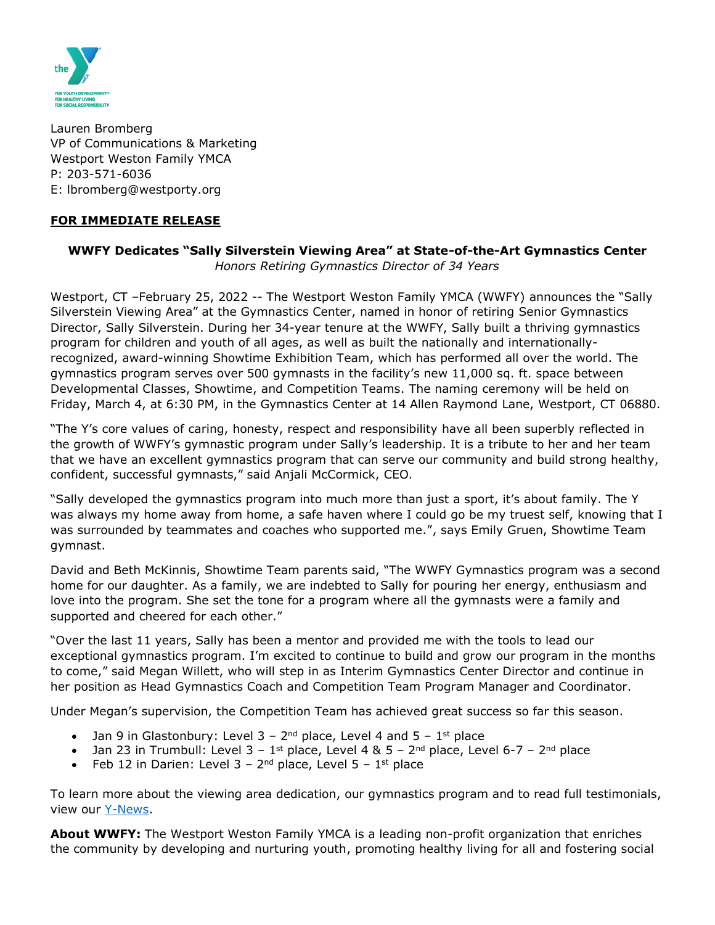

Lauren Bromberg VP of Communications & Marketing Westport Weston Family YMCA P: 203-571-6036 E: lbromberg@westporty.org

## **FOR IMMEDIATE RELEASE**

## **WWFY Dedicates "Sally Silverstein Viewing Area" at State-of-the-Art Gymnastics Center** *Honors Retiring Gymnastics Director of 34 Years*

Westport, CT –February 25, 2022 -- The Westport Weston Family YMCA (WWFY) announces the "Sally Silverstein Viewing Area" at the Gymnastics Center, named in honor of retiring Senior Gymnastics Director, Sally Silverstein. During her 34-year tenure at the WWFY, Sally built a thriving gymnastics program for children and youth of all ages, as well as built the nationally and internationallyrecognized, award-winning Showtime Exhibition Team, which has performed all over the world. The gymnastics program serves over 500 gymnasts in the facility's new 11,000 sq. ft. space between Developmental Classes, Showtime, and Competition Teams. The naming ceremony will be held on Friday, March 4, at 6:30 PM, in the Gymnastics Center at 14 Allen Raymond Lane, Westport, CT 06880.

"The Y's core values of caring, honesty, respect and responsibility have all been superbly reflected in the growth of WWFY's gymnastic program under Sally's leadership. It is a tribute to her and her team that we have an excellent gymnastics program that can serve our community and build strong healthy, confident, successful gymnasts," said Anjali McCormick, CEO.

"Sally developed the gymnastics program into much more than just a sport, it's about family. The Y was always my home away from home, a safe haven where I could go be my truest self, knowing that I was surrounded by teammates and coaches who supported me.", says Emily Gruen, Showtime Team gymnast.

David and Beth McKinnis, Showtime Team parents said, "The WWFY Gymnastics program was a second home for our daughter. As a family, we are indebted to Sally for pouring her energy, enthusiasm and love into the program. She set the tone for a program where all the gymnasts were a family and supported and cheered for each other."

"Over the last 11 years, Sally has been a mentor and provided me with the tools to lead our exceptional gymnastics program. I'm excited to continue to build and grow our program in the months to come," said Megan Willett, who will step in as Interim Gymnastics Center Director and continue in her position as Head Gymnastics Coach and Competition Team Program Manager and Coordinator.

Under Megan's supervision, the Competition Team has achieved great success so far this season.

- Jan 9 in Glastonbury: Level  $3 2^{nd}$  place, Level 4 and  $5 1^{st}$  place
- Jan 23 in Trumbull: Level  $3 1$ <sup>st</sup> place, Level 4 &  $5 2^{nd}$  place, Level 6-7 2<sup>nd</sup> place
- Feb 12 in Darien: Level  $3 2^{nd}$  place, Level  $5 1^{st}$  place

To learn more about the viewing area dedication, our gymnastics program and to read full testimonials, view our [Y-News.](https://westporty.org/y-news/)

**About WWFY:** The Westport Weston Family YMCA is a leading non-profit organization that enriches the community by developing and nurturing youth, promoting healthy living for all and fostering social